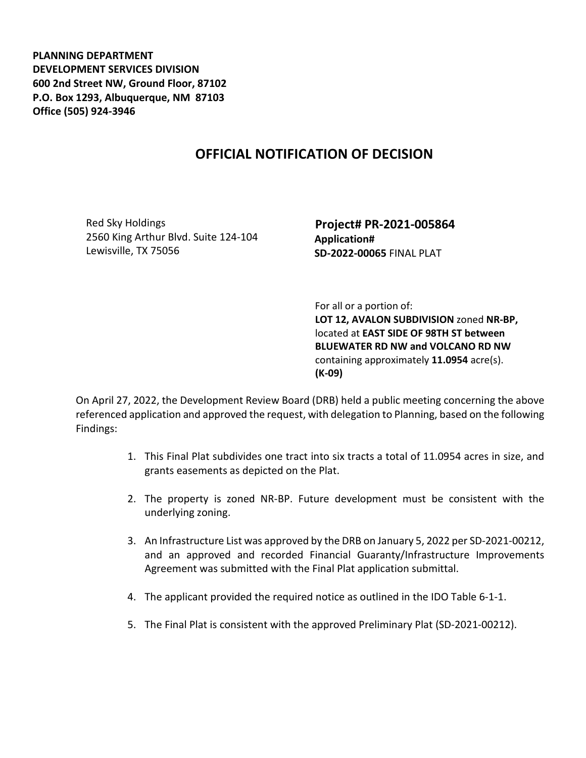**PLANNING DEPARTMENT DEVELOPMENT SERVICES DIVISION 600 2nd Street NW, Ground Floor, 87102 P.O. Box 1293, Albuquerque, NM 87103 Office (505) 924-3946** 

## **OFFICIAL NOTIFICATION OF DECISION**

Red Sky Holdings 2560 King Arthur Blvd. Suite 124-104 Lewisville, TX 75056

 **Project# PR-2021-005864 Application# SD-2022-00065** FINAL PLAT

 For all or a portion of: **LOT 12, AVALON SUBDIVISION** zoned **NR-BP,**  located at **EAST SIDE OF 98TH ST between BLUEWATER RD NW and VOLCANO RD NW**  containing approximately **11.0954** acre(s). **(K-09)** 

On April 27, 2022, the Development Review Board (DRB) held a public meeting concerning the above referenced application and approved the request, with delegation to Planning, based on the following Findings:

- 1. This Final Plat subdivides one tract into six tracts a total of 11.0954 acres in size, and grants easements as depicted on the Plat.
- 2. The property is zoned NR-BP. Future development must be consistent with the underlying zoning.
- 3. An Infrastructure List was approved by the DRB on January 5, 2022 per SD-2021-00212, and an approved and recorded Financial Guaranty/Infrastructure Improvements Agreement was submitted with the Final Plat application submittal.
- 4. The applicant provided the required notice as outlined in the IDO Table 6-1-1.
- 5. The Final Plat is consistent with the approved Preliminary Plat (SD-2021-00212).